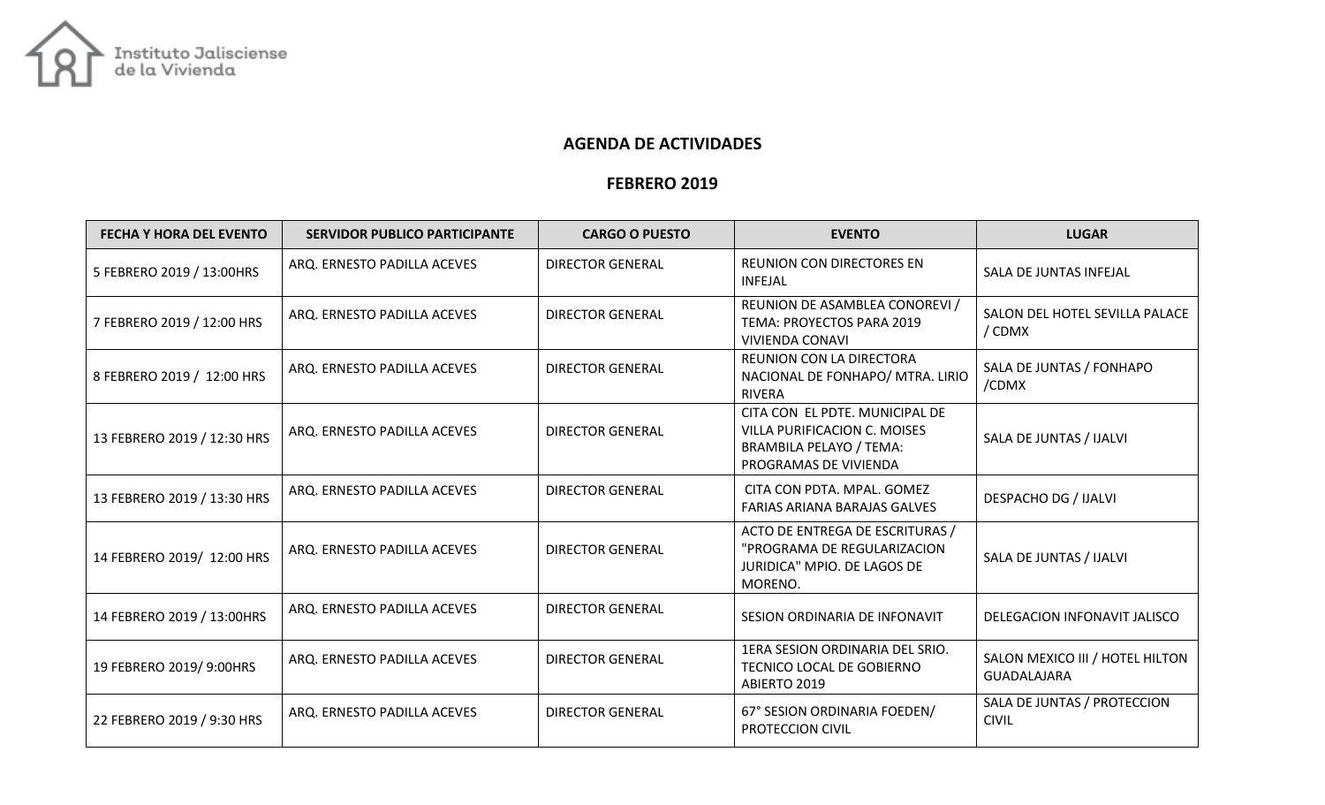

## AGENDA DE ACTIVIDADES

## FEBRERO 2019

| <b>FECHA Y HORA DEL EVENTO</b> | <b>SERVIDOR PUBLICO PARTICIPANTE</b> | <b>CARGO O PUESTO</b>   | <b>EVENTO</b>                                                                                                                    | <b>LUGAR</b>                                          |
|--------------------------------|--------------------------------------|-------------------------|----------------------------------------------------------------------------------------------------------------------------------|-------------------------------------------------------|
| 5 FEBRERO 2019 / 13:00HRS      | ARQ. ERNESTO PADILLA ACEVES          | <b>DIRECTOR GENERAL</b> | <b>REUNION CON DIRECTORES EN</b><br><b>INFEJAL</b>                                                                               | SALA DE JUNTAS INFEJAL                                |
| 7 FEBRERO 2019 / 12:00 HRS     | ARQ. ERNESTO PADILLA ACEVES          | <b>DIRECTOR GENERAL</b> | REUNION DE ASAMBLEA CONOREVI /<br>TEMA: PROYECTOS PARA 2019<br><b>VIVIENDA CONAVI</b>                                            | SALON DEL HOTEL SEVILLA PALACE<br>/ CDMX              |
| 8 FEBRERO 2019 / 12:00 HRS     | ARQ. ERNESTO PADILLA ACEVES          | <b>DIRECTOR GENERAL</b> | <b>REUNION CON LA DIRECTORA</b><br>NACIONAL DE FONHAPO/ MTRA. LIRIO<br><b>RIVERA</b>                                             | SALA DE JUNTAS / FONHAPO<br>/CDMX                     |
| 13 FEBRERO 2019 / 12:30 HRS    | ARQ. ERNESTO PADILLA ACEVES          | <b>DIRECTOR GENERAL</b> | CITA CON EL PDTE. MUNICIPAL DE<br><b>VILLA PURIFICACION C. MOISES</b><br><b>BRAMBILA PELAYO / TEMA:</b><br>PROGRAMAS DE VIVIENDA | SALA DE JUNTAS / IJALVI                               |
| 13 FEBRERO 2019 / 13:30 HRS    | ARQ. ERNESTO PADILLA ACEVES          | <b>DIRECTOR GENERAL</b> | CITA CON PDTA. MPAL. GOMEZ<br>FARIAS ARIANA BARAJAS GALVES                                                                       | <b>DESPACHO DG / IJALVI</b>                           |
| 14 FEBRERO 2019/ 12:00 HRS     | ARQ. ERNESTO PADILLA ACEVES          | <b>DIRECTOR GENERAL</b> | ACTO DE ENTREGA DE ESCRITURAS /<br>"PROGRAMA DE REGULARIZACION<br>JURIDICA" MPIO. DE LAGOS DE<br>MORENO.                         | SALA DE JUNTAS / IJALVI                               |
| 14 FEBRERO 2019 / 13:00HRS     | ARQ. ERNESTO PADILLA ACEVES          | <b>DIRECTOR GENERAL</b> | SESION ORDINARIA DE INFONAVIT                                                                                                    | DELEGACION INFONAVIT JALISCO                          |
| 19 FEBRERO 2019/ 9:00HRS       | ARQ. ERNESTO PADILLA ACEVES          | <b>DIRECTOR GENERAL</b> | 1ERA SESION ORDINARIA DEL SRIO.<br>TECNICO LOCAL DE GOBIERNO<br>ABIERTO 2019                                                     | SALON MEXICO III / HOTEL HILTON<br><b>GUADALAJARA</b> |
| 22 FEBRERO 2019 / 9:30 HRS     | ARQ. ERNESTO PADILLA ACEVES          | <b>DIRECTOR GENERAL</b> | 67° SESION ORDINARIA FOEDEN/<br>PROTECCION CIVIL                                                                                 | SALA DE JUNTAS / PROTECCION<br><b>CIVIL</b>           |